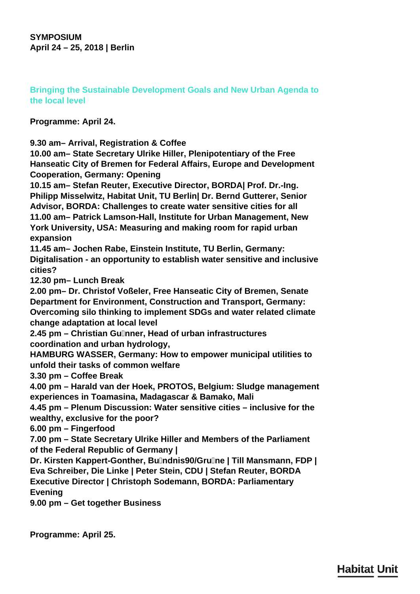**SYMPOSIUM April 24 – 25, 2018 | Berlin**

**Bringing the Sustainable Development Goals and New Urban Agenda to the local level**

**Programme: April 24.**

**9.30 am– Arrival, Registration & Coffee**

**10.00 am– State Secretary Ulrike Hiller, Plenipotentiary of the Free Hanseatic City of Bremen for Federal Affairs, Europe and Development Cooperation, Germany: Opening**

**10.15 am– Stefan Reuter, Executive Director, BORDA| Prof. Dr.-Ing. Philipp Misselwitz, Habitat Unit, TU Berlin| Dr. Bernd Gutterer, Senior Advisor, BORDA: Challenges to create water sensitive cities for all 11.00 am– Patrick Lamson-Hall, Institute for Urban Management, New York University, USA: Measuring and making room for rapid urban expansion**

**11.45 am– Jochen Rabe, Einstein Institute, TU Berlin, Germany: Digitalisation - an opportunity to establish water sensitive and inclusive cities?**

**12.30 pm– Lunch Break**

**2.00 pm– Dr. Christof Voßeler, Free Hanseatic City of Bremen, Senate Department for Environment, Construction and Transport, Germany: Overcoming silo thinking to implement SDGs and water related climate change adaptation at local level**

**2.45 pm – Christian Günner, Head of urban infrastructures coordination and urban hydrology,**

**HAMBURG WASSER, Germany: How to empower municipal utilities to unfold their tasks of common welfare**

**3.30 pm – Coffee Break**

**4.00 pm – Harald van der Hoek, PROTOS, Belgium: Sludge management experiences in Toamasina, Madagascar & Bamako, Mali**

**4.45 pm – Plenum Discussion: Water sensitive cities – inclusive for the wealthy, exclusive for the poor?**

**6.00 pm – Fingerfood**

**7.00 pm – State Secretary Ulrike Hiller and Members of the Parliament of the Federal Republic of Germany |**

**Dr. Kirsten Kappert-Gonther, Bündnis90/Grüne | Till Mansmann, FDP | Eva Schreiber, Die Linke | Peter Stein, CDU | Stefan Reuter, BORDA Executive Director | Christoph Sodemann, BORDA: Parliamentary Evening**

**9.00 pm – Get together Business**

**Programme: April 25.**